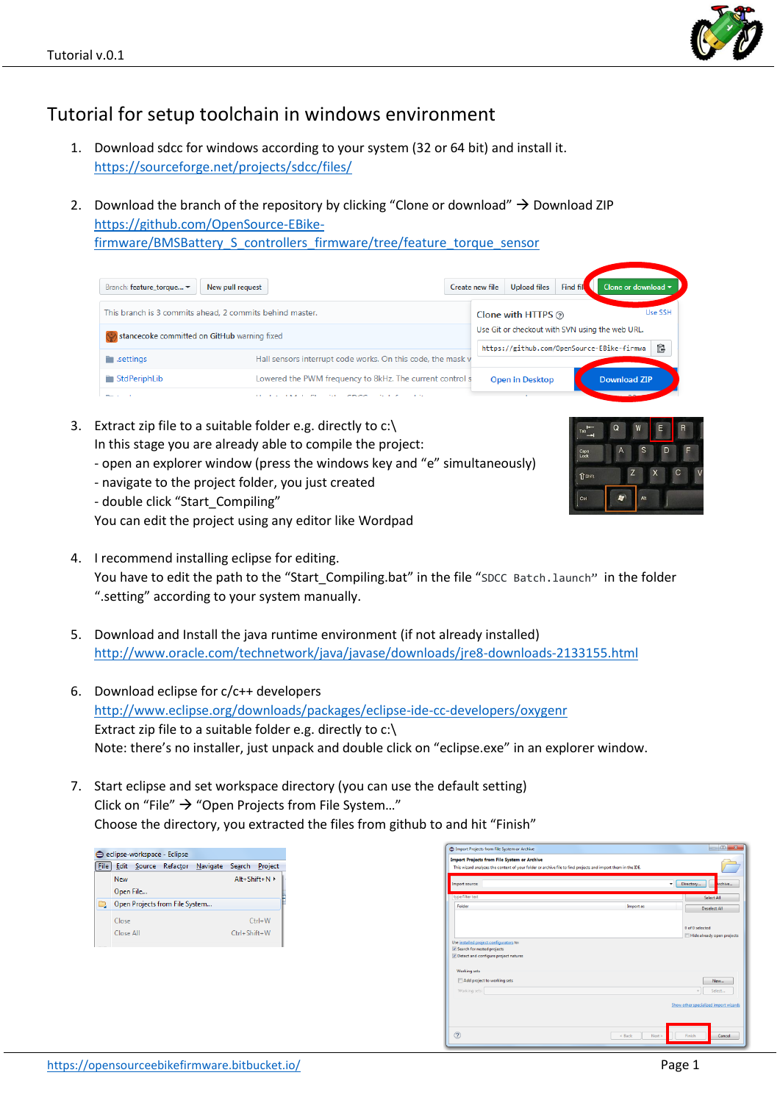## Tutorial for setup toolchain in windows environment

- 1. Download sdcc for windows according to your system (32 or 64 bit) and install it. <https://sourceforge.net/projects/sdcc/files/>
- 2. Download the branch of the repository by clicking "Clone or download"  $\rightarrow$  Download ZIP [https://github.com/OpenSource-EBike-](https://github.com/OpenSource-EBike-firmware/BMSBattery_S_controllers_firmware/tree/feature_torque_sensor)

[firmware/BMSBattery\\_S\\_controllers\\_firmware/tree/feature\\_torque\\_sensor](https://github.com/OpenSource-EBike-firmware/BMSBattery_S_controllers_firmware/tree/feature_torque_sensor)

| New pull request<br>Create new file<br>Branch: feature torque ▼ |                                                                                                           |  |  | <b>Upload files</b>    | Find fil            | Clone or download $\blacktriangledown$               |  |
|-----------------------------------------------------------------|-----------------------------------------------------------------------------------------------------------|--|--|------------------------|---------------------|------------------------------------------------------|--|
| This branch is 3 commits ahead. 2 commits behind master.        |                                                                                                           |  |  | Clone with HTTPS @     |                     | Use SSH                                              |  |
| stancecoke committed on GitHub warning fixed                    |                                                                                                           |  |  |                        |                     | Use Git or checkout with SVN using the web URL.<br>皀 |  |
| $\blacksquare$ .settings                                        | https://github.com/OpenSource-EBike-firmwa<br>Hall sensors interrupt code works. On this code, the mask v |  |  |                        |                     |                                                      |  |
| StdPeriphLib                                                    | Lowered the PWM frequency to 8kHz. The current control s                                                  |  |  | <b>Open in Desktop</b> | <b>Download ZIP</b> |                                                      |  |
| $m = 1$                                                         | 10,000                                                                                                    |  |  |                        |                     |                                                      |  |

- 3. Extract zip file to a suitable folder e.g. directly to c:\ In this stage you are already able to compile the project:
	- open an explorer window (press the windows key and "e" simultaneously)
	- navigate to the project folder, you just created
	- double click "Start\_Compiling"

You can edit the project using any editor like Wordpad

- 4. I recommend installing eclipse for editing. You have to edit the path to the "Start\_Compiling.bat" in the file "[SDCC Batch.launch](https://github.com/OpenSource-EBike-firmware/BMSBattery_S_controllers_firmware/commit/baa5e4eecd73ff592abf6f6c359d0f60b1f00a63#diff-4e2b818fbbdf0b80788d9fe0af8c56f4)" in the folder ".setting" according to your system manually.
- 5. Download and Install the java runtime environment (if not already installed) <http://www.oracle.com/technetwork/java/javase/downloads/jre8-downloads-2133155.html>
- 6. Download eclipse for c/c++ developers <http://www.eclipse.org/downloads/packages/eclipse-ide-cc-developers/oxygenr> Extract zip file to a suitable folder e.g. directly to c:\ Note: there's no installer, just unpack and double click on "eclipse.exe" in an explorer window.
- 7. Start eclipse and set workspace directory (you can use the default setting) Click on "File"  $\rightarrow$  "Open Projects from File System..." Choose the directory, you extracted the files from github to and hit "Finish"

| File |           |                                | Edit Source Refactor Navigate Search Project |              |                   |
|------|-----------|--------------------------------|----------------------------------------------|--------------|-------------------|
|      | New       |                                |                                              |              | $Alt + Shiff + N$ |
|      | Open File |                                |                                              |              |                   |
| C.   |           | Open Projects from File System |                                              |              |                   |
|      | Close     |                                |                                              |              | $Ctrl + W$        |
|      | Close All |                                |                                              | Ctrl+Shift+W |                   |



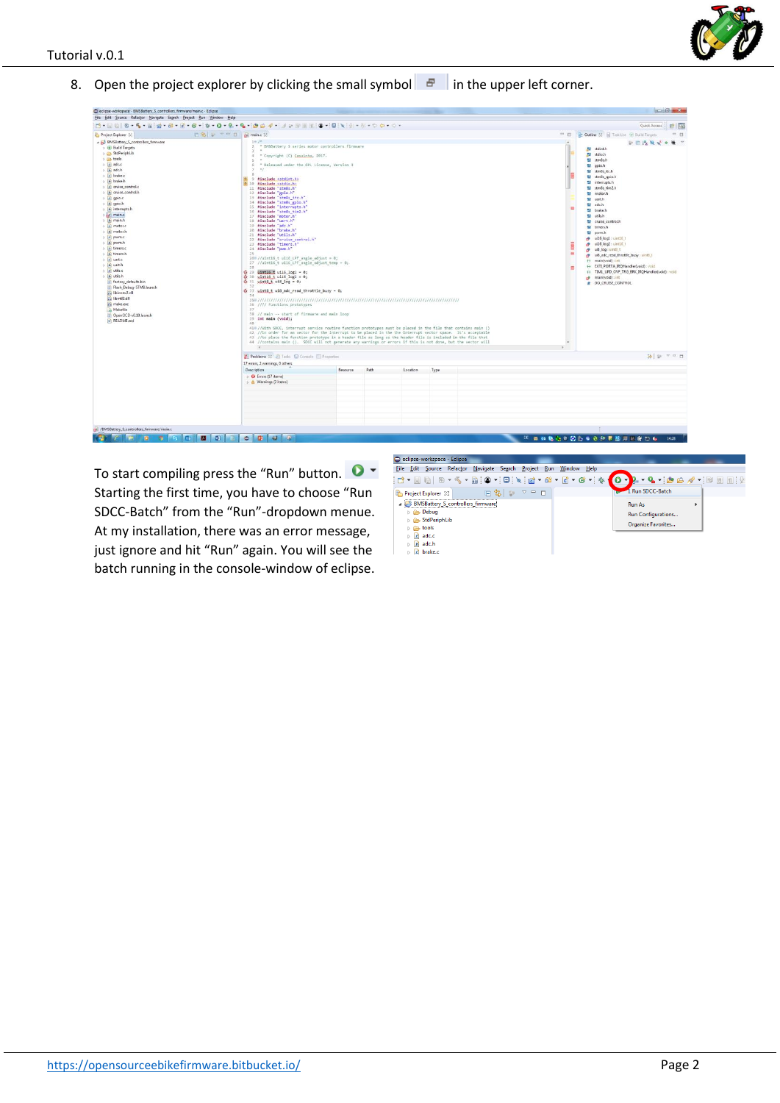

8. Open the project explorer by clicking the small symbol  $\|\mathbf{F}\|$  in the upper left corner.

| eclipse-workspace - BMSBattery_S_controllers_firmware/main.c - Eclipse                                                                                                                                                                                                                                                                                                                                                                                                                                                                                                                                                                                                                                           |                                                                                                                                                                                                                                                                                                                                                                                                                                                                                                                                                                                                                                                                                                                                                                                                                                                                                                                                                                                                                                                                                                                                                                                                                                                                                                                                                                                                                                                                                                                                                                                                                        |                          |                                                                                                                                                                                                                                                                                                                                                                                                                                                                                                                                                                                                                                                                                   |          |      |  |  | $\left  \frac{1}{1-\frac{1}{2}} \right $ |  |
|------------------------------------------------------------------------------------------------------------------------------------------------------------------------------------------------------------------------------------------------------------------------------------------------------------------------------------------------------------------------------------------------------------------------------------------------------------------------------------------------------------------------------------------------------------------------------------------------------------------------------------------------------------------------------------------------------------------|------------------------------------------------------------------------------------------------------------------------------------------------------------------------------------------------------------------------------------------------------------------------------------------------------------------------------------------------------------------------------------------------------------------------------------------------------------------------------------------------------------------------------------------------------------------------------------------------------------------------------------------------------------------------------------------------------------------------------------------------------------------------------------------------------------------------------------------------------------------------------------------------------------------------------------------------------------------------------------------------------------------------------------------------------------------------------------------------------------------------------------------------------------------------------------------------------------------------------------------------------------------------------------------------------------------------------------------------------------------------------------------------------------------------------------------------------------------------------------------------------------------------------------------------------------------------------------------------------------------------|--------------------------|-----------------------------------------------------------------------------------------------------------------------------------------------------------------------------------------------------------------------------------------------------------------------------------------------------------------------------------------------------------------------------------------------------------------------------------------------------------------------------------------------------------------------------------------------------------------------------------------------------------------------------------------------------------------------------------|----------|------|--|--|------------------------------------------|--|
| Eile Edit Source Refactor Navigate Search Project Bun Window Help                                                                                                                                                                                                                                                                                                                                                                                                                                                                                                                                                                                                                                                |                                                                                                                                                                                                                                                                                                                                                                                                                                                                                                                                                                                                                                                                                                                                                                                                                                                                                                                                                                                                                                                                                                                                                                                                                                                                                                                                                                                                                                                                                                                                                                                                                        |                          |                                                                                                                                                                                                                                                                                                                                                                                                                                                                                                                                                                                                                                                                                   |          |      |  |  |                                          |  |
|                                                                                                                                                                                                                                                                                                                                                                                                                                                                                                                                                                                                                                                                                                                  |                                                                                                                                                                                                                                                                                                                                                                                                                                                                                                                                                                                                                                                                                                                                                                                                                                                                                                                                                                                                                                                                                                                                                                                                                                                                                                                                                                                                                                                                                                                                                                                                                        | Quick Access : ER        |                                                                                                                                                                                                                                                                                                                                                                                                                                                                                                                                                                                                                                                                                   |          |      |  |  |                                          |  |
| 日第 → → 日 品 main.c 33<br>Project Explorer 23<br>BMSBattery_S_controllers_firmware<br>> Build Targets<br>StdPeriphLib<br><b>b</b> tools<br>$\mathbb{E}$ adc.c<br>> h adc.h<br><b>D c</b> brake.c<br>> A brake.h<br>D C cruise_control.c<br>> h cruise control.h<br>$\triangleright$ $\blacksquare$ gpio.c<br>» la gpio.h<br><b>b</b> <i>interrupts.h</i><br>$\geq$ $\leq$ main.c<br>» In main.h<br>$\Rightarrow$ $\in$ motor.c<br>> la motor.h<br>$\geq$ $\leq$ pwm.c<br>> h pwm.h<br>b c timers.c<br>» In timers.h<br>b is uartic<br>> a uarth<br>b c utils.c<br>> R utils.h<br>factory_defaults.bin<br>Flash_Debug-STM8.launch<br>sis libiconv2.dll<br>ibintB.dll<br>make.exe<br>Makefile<br>DenOCD-v0.10.launch | $*{\mathop{\rm i}\,} \Phi * {\mathbf{0}} * {\mathbf{0}} * {\mathbf{0}} * {\mathbf{0}} *{\mathbf{0}} *{\mathbf{0}} \otimes \mathscr{A} *{\mathop{\rm i}\,} \mathscr{J} *{\mathop{\rm i}\,} \mathbb{R} \otimes {\mathop{\rm i}\,} \mathbb{R} \otimes *{\mathop{\rm i}\,} \mathbb{Q} * \mathbb{N} * {\mathop{\rm i}\,} \mathbb{Q} * \mathbb{Q} * \mathbb{Q} * \mathbb{Q} * \mathbb{Q} * {\mathop{\rm i}\,} \mathbb{Q} * {\mathbf{0}} * {\mathop{\rm i}\,} \mathbb{$<br>$10^{14}$<br>$2^{\circ}$<br>* BMSBattery S series motor controllers firmware<br>$\mathcal{L}$<br>* Copyright (C) Casainho, 2017.<br>* Released under the GPL License, Version 3<br>$\mathcal{N}$<br>9 #include <stdint.h><br/>10 #include <stdio.h><br/>11 #include "stm8s.h"<br/>12 #include "gpio.h"<br/>13 Winclude "stm8s itc.h"<br/>14 Winclude "stm8s golo.h"<br/>15 #include "interrupts.h"<br/>16 #include "stmBs_tim2.h"<br/>17 #include "motor.h"<br/>18 #include "uart.h"<br/>19 Winclude "adc.h"<br/>20 #include "brake.h"<br/>21 #include "utils.h"<br/>22 #include "cruise control.h"<br/>23 #include "timers.h"<br/>24 #include "pwm.h"<br/>25<br/><math>26\%</math> //uint16_t ui16_LPF_angle_adjust = 0;<br/>27 //uint16 t ui16 LPF angle_adjust_temp = 0;<br/>28<br/><math>\$29</math> uint16 t ui16 log1 = 0;<br/><math>6:30</math> uint16 t ui16 log2 = 0;<br/><math>\frac{1}{40}</math> 31 uint8 t ui8 log = 0;<br/>\$ 33 uint8 t ui8 adc_read_throttle_busy = 0;<br/><math>-34</math><br/>36 //// Functions prototypes<br/>37<br/>38 // main -- start of firmware and main loop<br/>39 int main (void);</stdio.h></stdint.h> | 田<br>$\blacksquare$<br>温 | <sup>es</sup> El <b>B</b> Outline 23 <b>El Task List B</b> Build Targets<br>$\Box$<br>中国浅风动中地下<br>All stdint.h<br><b>All</b> stdio.h<br>til stm8s.h<br>tal gpio.h<br>til stm8s_itc.h<br>til stm8s_gpio.h<br>월 interrupts.h<br>tal stm8s tim2.h<br>tal motor.h<br>53 uart.h<br>til adc.h<br>t.l brake.h<br><b>M</b> utils.h<br>til cruise_control.h<br><sup>11</sup> timers.h<br><sup>11</sup> pwm.h<br>wil6_log1 : uint16 t<br>all 6 log2 : uint16 t<br>will log : uint8 t<br>all, adc_read_throttle_busy : uint8_1<br>H main(void) : int<br>++ EXTI_PORTA_IRQHandler(void) : void<br>+ TIM1_UPD_OVF_TRG_BRK_IRQHandler(void) : void<br>p main(void) : int<br># DO_CRUISE_CONTROL |          |      |  |  |                                          |  |
| README.md                                                                                                                                                                                                                                                                                                                                                                                                                                                                                                                                                                                                                                                                                                        | 40.<br>410 //With SDCC, interrupt service routine function prototypes must be placed in the file that contains main ()<br>42 //in order for an vector for the interrupt to be placed in the the interrupt vector space. It's acceptable<br>43 //to place the function prototype in a header file as long as the header file is included in the file that<br>44 //contains main (). SOCC will not generate any warnings or errors if this is not done, but the vector will<br>Problems 23 & Tasks @ Corucle C Properties<br>17 errors, 2 warnings, 0 others<br><b>Description</b><br>D G Errors (17 items)<br>b & Warnings (2 items)                                                                                                                                                                                                                                                                                                                                                                                                                                                                                                                                                                                                                                                                                                                                                                                                                                                                                                                                                                                    | Resource                 | Path                                                                                                                                                                                                                                                                                                                                                                                                                                                                                                                                                                                                                                                                              | Location | Type |  |  | 39 2 2 3 日                               |  |
| /C /BMSBattery_S_controllers_firmware/main.c                                                                                                                                                                                                                                                                                                                                                                                                                                                                                                                                                                                                                                                                     |                                                                                                                                                                                                                                                                                                                                                                                                                                                                                                                                                                                                                                                                                                                                                                                                                                                                                                                                                                                                                                                                                                                                                                                                                                                                                                                                                                                                                                                                                                                                                                                                                        |                          |                                                                                                                                                                                                                                                                                                                                                                                                                                                                                                                                                                                                                                                                                   |          |      |  |  |                                          |  |
| $\overline{\sigma}$<br>80                                                                                                                                                                                                                                                                                                                                                                                                                                                                                                                                                                                                                                                                                        | 9<br>$\circ$ $\circ$                                                                                                                                                                                                                                                                                                                                                                                                                                                                                                                                                                                                                                                                                                                                                                                                                                                                                                                                                                                                                                                                                                                                                                                                                                                                                                                                                                                                                                                                                                                                                                                                   |                          |                                                                                                                                                                                                                                                                                                                                                                                                                                                                                                                                                                                                                                                                                   |          |      |  |  |                                          |  |

To start compiling press the "Run" button.  $\bullet$   $\bullet$ Starting the first time, you have to choose "Run SDCC-Batch" from the "Run"-dropdown menue. At my installation, there was an error message, just ignore and hit "Run" again. You will see the batch running in the console-window of eclipse.

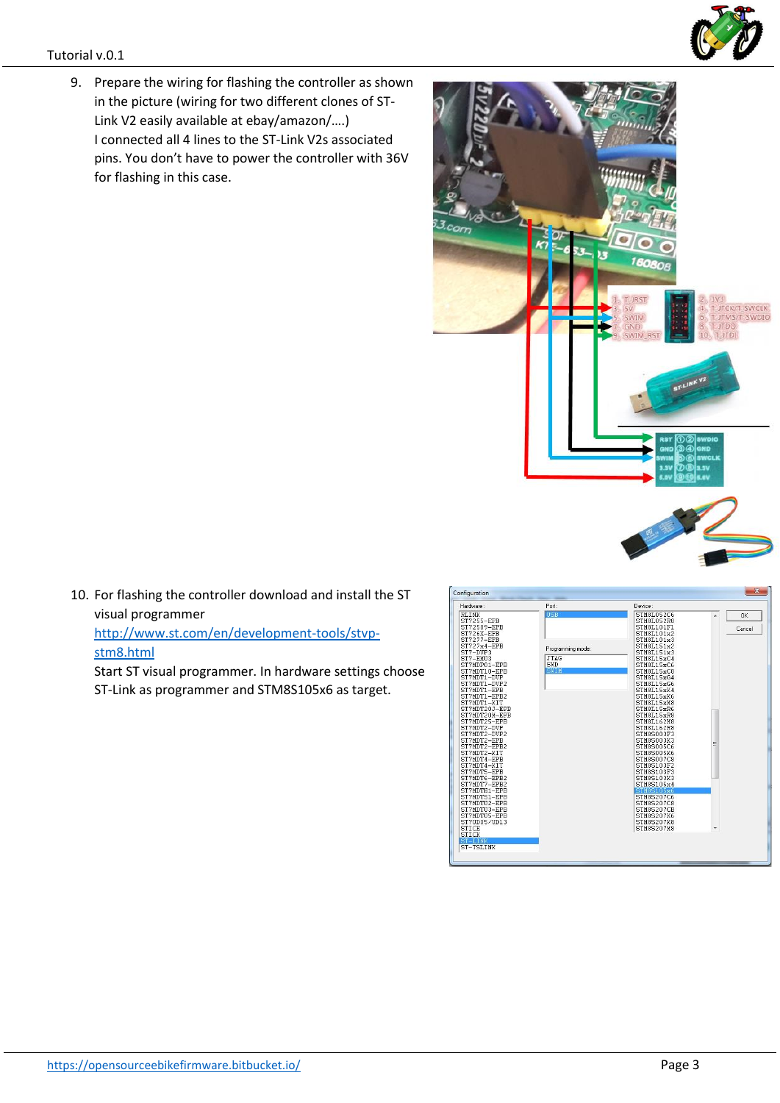9. Prepare the wiring for flashing the controller as shown in the picture (wiring for two different clones of ST-Link V2 easily available at ebay/amazon/….) I connected all 4 lines to the ST-Link V2s associated pins. You don't have to power the controller with 36V for flashing in this case.

10. For flashing the controller download and install the ST visual programmer [http://www.st.com/en/development-tools/stvp](http://www.st.com/en/development-tools/stvp-stm8.html)[stm8.html](http://www.st.com/en/development-tools/stvp-stm8.html)

Start ST visual programmer. In hardware settings choose ST-Link as programmer and STM8S105x6 as target.



ST-TSLINK





 $n<sub>k</sub>$  $Cancel$ 

TM8510<br>TM8510

TM89<br>TM89 5207CE<br>5207K6 STM8S207M8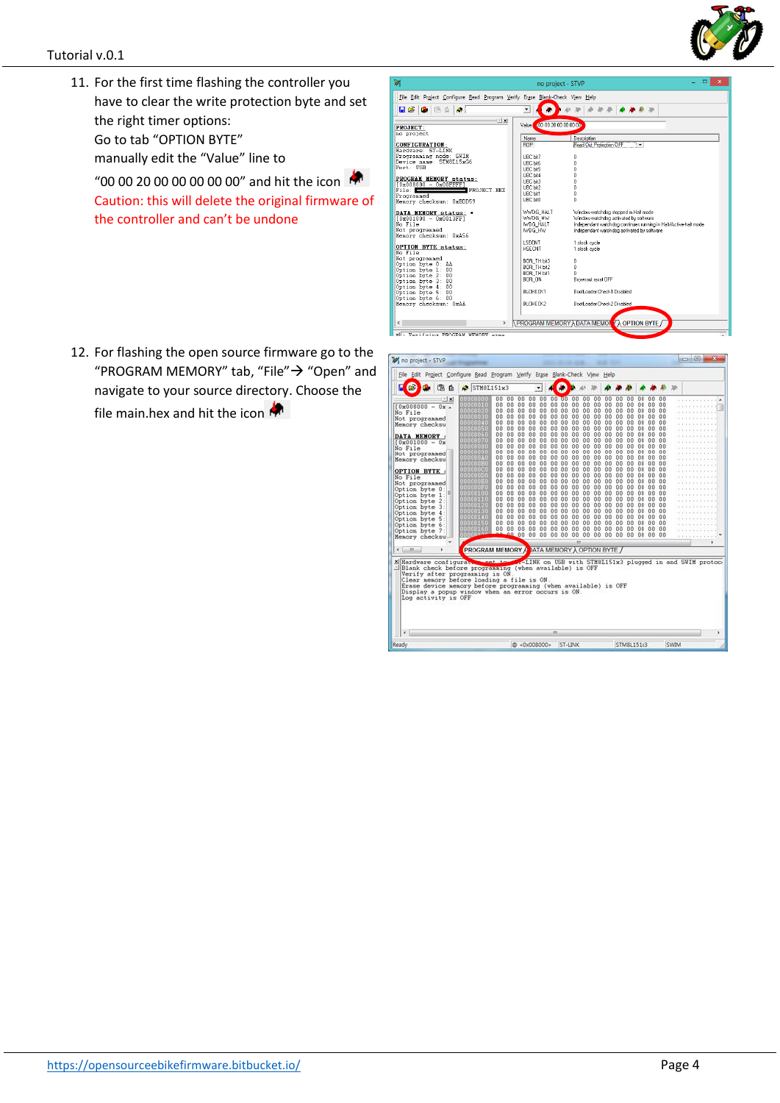

11. For the first time flashing the controller you have to clear the write protection byte and set the right timer options: Go to tab "OPTION BYTE" manually edit the "Value" line to

"00 00 20 00 00 00 00 00" and hit the icon Caution: this will delete the original firmware of the controller and can't be undone



12. For flashing the open source firmware go to the "PROGRAM MEMORY" tab, "File" $\rightarrow$  "Open" and navigate to your source directory. Choose the file main.hex and hit the icon

| File Edit Project Configure Read Program Verify Erase Blank-Check View Help                                                                                                                                                                                                                                                                                                                                |                                                                                                                                                                                                                                                                                         |                                                                                                                                                                                                                                                                                                                                                       |                                                                                                                                                                                                                                                                                                                                                                                                      |                                                                                                                                                               |                                                                                                                                                                                     |                                                                                                                                        |                                                                                                                                                                                                                                                                                                         |                                                                                                                                              |                                                                                                                                        |                                                                                                                                                      |                                                                                                                                             |                                                                                                                                                                 |                                                                                                                                                                                |                                                                                                                                                                                                                               |  |  |
|------------------------------------------------------------------------------------------------------------------------------------------------------------------------------------------------------------------------------------------------------------------------------------------------------------------------------------------------------------------------------------------------------------|-----------------------------------------------------------------------------------------------------------------------------------------------------------------------------------------------------------------------------------------------------------------------------------------|-------------------------------------------------------------------------------------------------------------------------------------------------------------------------------------------------------------------------------------------------------------------------------------------------------------------------------------------------------|------------------------------------------------------------------------------------------------------------------------------------------------------------------------------------------------------------------------------------------------------------------------------------------------------------------------------------------------------------------------------------------------------|---------------------------------------------------------------------------------------------------------------------------------------------------------------|-------------------------------------------------------------------------------------------------------------------------------------------------------------------------------------|----------------------------------------------------------------------------------------------------------------------------------------|---------------------------------------------------------------------------------------------------------------------------------------------------------------------------------------------------------------------------------------------------------------------------------------------------------|----------------------------------------------------------------------------------------------------------------------------------------------|----------------------------------------------------------------------------------------------------------------------------------------|------------------------------------------------------------------------------------------------------------------------------------------------------|---------------------------------------------------------------------------------------------------------------------------------------------|-----------------------------------------------------------------------------------------------------------------------------------------------------------------|--------------------------------------------------------------------------------------------------------------------------------------------------------------------------------|-------------------------------------------------------------------------------------------------------------------------------------------------------------------------------------------------------------------------------|--|--|
| F<br>c<br>(高)                                                                                                                                                                                                                                                                                                                                                                                              | $\triangleright$ STM8L151x3                                                                                                                                                                                                                                                             |                                                                                                                                                                                                                                                                                                                                                       |                                                                                                                                                                                                                                                                                                                                                                                                      | ٠                                                                                                                                                             |                                                                                                                                                                                     |                                                                                                                                        |                                                                                                                                                                                                                                                                                                         |                                                                                                                                              |                                                                                                                                        |                                                                                                                                                      |                                                                                                                                             |                                                                                                                                                                 |                                                                                                                                                                                |                                                                                                                                                                                                                               |  |  |
| $- x $<br>$10 \times 008000 - 08$<br>No File<br>Not programmed<br>Memory checksu<br>DATA MEMORY<br>$0 \times 001000 - 0 \times$<br>No File<br>Not programmed<br>Memory checksu<br>OPTION BYTE:<br>No File<br>Not programmed<br>Option byte 0<br>Option byte<br>1<br>Option byte 2<br>Option byte<br>$\mathbf{3}$<br>Option byte 4<br>Option byte 5<br>Option byte 6<br>Option byte<br>-7<br>Menory checksu | 10008080<br>10088010<br>00008020<br>00008030<br>00006040<br>10088050<br>10068060<br><b>DODITOVO</b><br>10088080<br>333334<br>00008040<br>00000080<br>000880C0<br>00088000<br><b>000880E0</b><br>00008050<br>00008100<br>[111111]<br>71000<br>arinn.<br><b>TETETI</b><br>111111<br>GROOT | 0.0<br>00<br>00<br>00<br>$00 -$<br>00<br>00<br>00<br>00<br>00<br>00<br>n n<br>0.0<br>n <sub>n</sub><br>00<br>00<br>00<br>00<br>00<br>00<br>00<br>nn<br>00<br>nn<br>00<br>00<br>00<br>00<br>00<br>00<br>00<br>00<br>$00 -$<br>00<br>00<br>00<br>$00^{-}$<br>00<br>00 <sup>0</sup><br>00<br>00<br>00<br>n <sub>0</sub><br>00<br>$00^{\circ}$<br>0000000 | $00 -$<br>0.0<br>00<br>0.0<br>00 <sup>1</sup><br>00<br>00<br>00<br>0.0<br>00<br>0 <sup>0</sup><br>00<br>0.0<br>00<br>00<br>00<br>00<br>00<br>0 <sub>0</sub><br>00<br>n <sub>0</sub><br>00<br>nn<br>0.0<br>00<br>00<br>00<br>00<br>00<br>00<br>00<br>00<br>0 <sub>0</sub><br>00<br>$00^{-1}$<br>00<br>00<br>0 <sub>0</sub><br>0 <sup>0</sup><br>00<br>0 <sub>0</sub><br>00<br>00<br>00<br>00.00<br>00 | $00 -$<br>00<br>00<br>00<br>00<br>00<br>0.0<br>00<br>00<br>00<br>nn<br>00<br>00<br>00<br>00<br>00<br>00<br>00<br>00<br>00<br>00<br>0 <sub>0</sub><br>00<br>00 | $00 - 00$<br>$00 -$<br>00<br>00<br>00<br>00<br>00<br>00<br>00<br>00<br>nn<br>nn<br>00<br>00<br>00<br>00<br>00<br>00<br>$00 -$<br>00<br>0 <sub>0</sub><br>0 <sub>0</sub><br>00<br>00 | 00<br>00<br>00<br>00<br>00<br>00<br>00<br>00<br>00<br>nn<br>nn<br>00<br>00<br>00<br>00<br>00<br>00<br>00<br>00<br>00<br>00<br>00<br>00 | $00 -$<br>00<br>00<br>00<br>00<br>00<br>00<br>00<br>00<br>00<br>00<br>$00 -$<br>00<br>00<br>00<br>00<br>00<br>00<br>00<br>00<br>00<br>00<br>00<br>00<br>00<br>00<br>00<br>00<br>00<br>00<br>00<br>88<br>00<br>$-00$<br>00<br>00<br>00<br>00<br>00<br>00<br>00<br>00<br>00<br>00<br>00<br>00<br>00<br>00 | 00<br>00<br>00<br>00<br>88<br>88<br>00<br>00<br>00<br>00<br>nn<br>00<br>00<br>00<br>00<br>88<br>00<br>00<br>00<br>00<br>00<br>00<br>00<br>00 | 00<br>00<br>00<br>00<br>00<br>00<br>00<br>88<br>00<br>00<br>00<br>nn<br>00<br>00<br>00<br>88<br>00<br>00<br>00<br>00<br>00<br>00<br>00 | 00<br>00<br>00<br>00<br>00<br>60<br>GO.<br>00<br>00<br>00<br>nn<br>00<br>GO.<br>00<br>00<br>00<br>00<br>00<br>00<br>00<br>00<br>00<br>80<br>00 00 00 | 00<br>$00 -$<br>00<br>00<br>80<br>00<br>00<br>00<br>00<br>00<br>00<br>00<br>00<br>00<br>00<br>GO.<br>00<br>00<br>00<br>00<br>00<br>00<br>00 | 00<br>00<br>00<br>00<br>00<br>00<br>00<br>$00^{1}$<br>00<br>00<br>00<br>nn<br>00<br>00<br>00<br>00<br>00<br>00<br>00<br>00 <sup>0</sup><br>00<br>00<br>00<br>00 | 00<br>$00 -$<br>$00 -$<br>00 00<br>$00 -$<br>00<br>00<br>00<br>n <sub>n</sub><br>nn.<br>nn.<br>nn<br>$00 -$<br>00<br>00<br>00<br>00<br>$00 -$<br>00<br>00<br>00<br>00<br>$00-$ | 0.0<br>00<br>00<br>0 <sub>0</sub><br>00<br>n <sub>0</sub><br>n <sub>0</sub><br>00<br>0 <sub>0</sub><br>nn<br>n <sub>n</sub><br>00<br>00<br>0 <sub>0</sub><br>00<br>00<br>00<br>00<br>0000<br>0 <sub>0</sub><br>00<br>00<br>00 |  |  |
| $\epsilon$ .<br>m                                                                                                                                                                                                                                                                                                                                                                                          | <b>PROGRAM MEMORY AT ATA MEMORY A OPTION BYTE /</b>                                                                                                                                                                                                                                     |                                                                                                                                                                                                                                                                                                                                                       |                                                                                                                                                                                                                                                                                                                                                                                                      |                                                                                                                                                               |                                                                                                                                                                                     |                                                                                                                                        | m                                                                                                                                                                                                                                                                                                       |                                                                                                                                              |                                                                                                                                        |                                                                                                                                                      |                                                                                                                                             |                                                                                                                                                                 |                                                                                                                                                                                |                                                                                                                                                                                                                               |  |  |
| X Hardware configuration and to<br>Ellank check before programing (when available) is OFF<br>Verify after programming is ON<br>Clear memory before loading a file is ON.<br>Erase device memory before programming (when available) is OFF<br>Display a popup window when an error occurs is ON.<br>Log activity is OFF                                                                                    |                                                                                                                                                                                                                                                                                         |                                                                                                                                                                                                                                                                                                                                                       | .- LINK on USB with STM8L151x3 plugged in and SWIM protoc-                                                                                                                                                                                                                                                                                                                                           |                                                                                                                                                               |                                                                                                                                                                                     |                                                                                                                                        |                                                                                                                                                                                                                                                                                                         |                                                                                                                                              |                                                                                                                                        |                                                                                                                                                      |                                                                                                                                             |                                                                                                                                                                 |                                                                                                                                                                                |                                                                                                                                                                                                                               |  |  |
|                                                                                                                                                                                                                                                                                                                                                                                                            |                                                                                                                                                                                                                                                                                         |                                                                                                                                                                                                                                                                                                                                                       |                                                                                                                                                                                                                                                                                                                                                                                                      |                                                                                                                                                               | m                                                                                                                                                                                   |                                                                                                                                        |                                                                                                                                                                                                                                                                                                         |                                                                                                                                              |                                                                                                                                        |                                                                                                                                                      |                                                                                                                                             |                                                                                                                                                                 |                                                                                                                                                                                |                                                                                                                                                                                                                               |  |  |